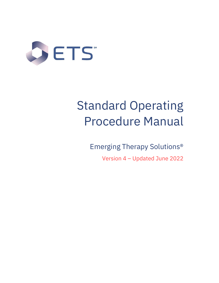

# Standard Operating Procedure Manual

Emerging Therapy Solutions®

Version 4 – Updated June 2022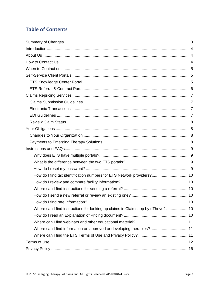# **Table of Contents**

| How do I find tax identification numbers for ETS Network providers?10          |  |
|--------------------------------------------------------------------------------|--|
|                                                                                |  |
|                                                                                |  |
|                                                                                |  |
|                                                                                |  |
| Where can I find instructions for looking up claims in Claimshop by nThrive?10 |  |
|                                                                                |  |
|                                                                                |  |
| Where can I find information on approved or developing therapies? 11           |  |
|                                                                                |  |
|                                                                                |  |
|                                                                                |  |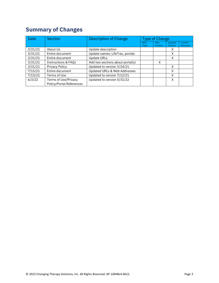# <span id="page-2-0"></span>**Summary of Changes**

| <b>Date</b> | <b>Section</b>                                          | <b>Description of Change</b>            | <b>Type of Change</b> |                       |                    |                    |
|-------------|---------------------------------------------------------|-----------------------------------------|-----------------------|-----------------------|--------------------|--------------------|
|             |                                                         |                                         | <b>New</b><br>Topic   | <b>New</b><br>Content | Updated<br>Content | Content<br>Removed |
| 3/31/21     | About Us                                                | Update description                      |                       |                       | X                  |                    |
| 3/31/21     | Entire document                                         | Update names; LifeTrac, portals         |                       |                       | X                  |                    |
| 3/31/21     | Entire document                                         | <b>Update URLs</b>                      |                       |                       | X                  |                    |
| 3/31/21     | <b>Instructions &amp; FAQs</b>                          | Add two sections about portal(s)        |                       | X                     |                    |                    |
| 3/31/21     | Privacy Policy                                          | Updated to version 3/24/21              |                       |                       | X                  |                    |
| 7/15/21     | Entire document                                         | <b>Updated URLs &amp; Web Addresses</b> |                       |                       | X                  |                    |
| 7/15/21     | Terms of Use                                            | Updated to version 7/12/21              |                       |                       | X                  |                    |
| 6/3/22      | Terms of Use/Privacy<br><b>Policy/Portal References</b> | Updated to version 5/31/22              |                       |                       | X                  |                    |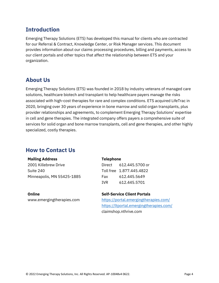# <span id="page-3-0"></span>**Introduction**

Emerging Therapy Solutions (ETS) has developed this manual for clients who are contracted for our Referral & Contract, Knowledge Center, or Risk Manager services. This document provides information about our claims processing procedures, billing and payments, access to our client portals and other topics that affect the relationship between ETS and your organization.

# <span id="page-3-1"></span>**About Us**

Emerging Therapy Solutions (ETS) was founded in 2018 by industry veterans of managed care solutions, healthcare biotech and transplant to help healthcare payers manage the risks associated with high-cost therapies for rare and complex conditions. ETS acquired LifeTrac in 2020, bringing over 30 years of experience in bone marrow and solid organ transplants, plus provider relationships and agreements, to complement Emerging Therapy Solutions' expertise in cell and gene therapies. The integrated company offers payers a comprehensive suite of services for solid organ and bone marrow transplants, cell and gene therapies, and other highly specialized, costly therapies.

# <span id="page-3-2"></span>**How to Contact Us**

### **Mailing Address**

2001 Killebrew Drive Suite 240 Minneapolis, MN 55425-1885

### **Online**

www.emergingtherapies.com

### **Telephone**

| Direct | 612.445.5700 or          |
|--------|--------------------------|
|        | Toll free 1.877.445.4822 |
| Fax    | 612.445.5649             |
| TVR.   | 612.445.5701             |

# **Self-Service Client Portals**

<https://portal.emergingtherapies.com/> [https://ltportal.emergingtherapies.com/](https://ltportal.emergingtherapies.com/?_ga=2.239251843.1611633949.1626281492-2134311488.1605286983) claimshop.nthrive.com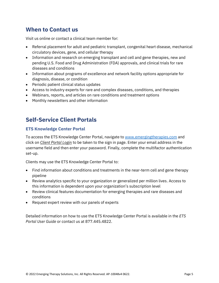# <span id="page-4-0"></span>**When to Contact us**

Visit us online or contact a clinical team member for:

- Referral placement for adult and pediatric transplant, congenital heart disease, mechanical circulatory devices, gene, and cellular therapy
- Information and research on emerging transplant and cell and gene therapies, new and pending U.S. Food and Drug Administration (FDA) approvals, and clinical trials for rare diseases and conditions
- Information about programs of excellence and network facility options appropriate for diagnosis, disease, or condition
- Periodic patient clinical status updates
- Access to industry experts for rare and complex diseases, conditions, and therapies
- Webinars, reports, and articles on rare conditions and treatment options
- Monthly newsletters and other information

# <span id="page-4-1"></span>**Self-Service Client Portals**

# <span id="page-4-2"></span>**ETS Knowledge Center Portal**

To access the ETS Knowledge Center Portal, navigate to [www.emergingtherapies.com](http://www.emergingtherapies.com/) and click on *Client Portal Login* to be taken to the sign in page. Enter your email address in the username field and then enter your password. Finally, complete the multifactor authentication set-up.

Clients may use the ETS Knowledge Center Portal to:

- Find information about conditions and treatments in the near-term cell and gene therapy pipeline
- Review analytics specific to your organization or generalized per million lives. Access to this information is dependent upon your organization's subscription level
- Review clinical features documentation for emerging therapies and rare diseases and conditions
- Request expert review with our panels of experts

Detailed information on how to use the ETS Knowledge Center Portal is available in the *ETS Portal User Guide* or contact us at 877.445.4822.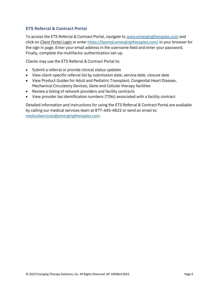# <span id="page-5-0"></span>**ETS Referral & Contract Portal**

To access the ETS Referral & Contract Portal, navigate to [www.emergingtherapies.com](http://www.emergingtherapies.com/) and click on *Client Portal Login* or enter <https://ltportal.emergingtherapies.com/> in your browser for the sign in page. Enter your email address in the username field and enter your password. Finally, complete the multifactor authentication set-up.

Clients may use the ETS Referral & Contract Portal to:

- Submit a referral or provide clinical status updates
- View client-specific referral list by submission date, service date, closure date
- View Product Guides for Adult and Pediatric Transplant, Congenital Heart Disease, Mechanical Circulatory Devices, Gene and Cellular therapy facilities
- Review a listing of network providers and facility contracts
- View provider tax identification numbers (TINs) associated with a facility contract

Detailed information and instructions for using the ETS Referral & Contract Portal are available by calling our medical services team at 877-445-4822 or send an email to: [medicalservices@emergingtherapies.com.](mailto:medicalservices@emergingtherapies.com)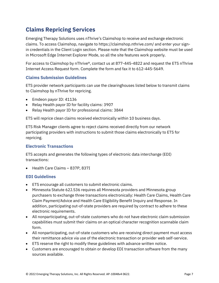# <span id="page-6-0"></span>**Claims Repricing Services**

Emerging Therapy Solutions uses nThrive's Claimshop to receive and exchange electronic claims. To access Claimshop, navigate to https://claimshop.nthrive.com/ and enter your signin credentials in the Client Login section. Please note that the Claimshop website must be used in Microsoft Edge Internet Explorer Mode, so all the site features work properly.

For access to Claimshop by nThrive®, contact us at 877-445-4822 and request the ETS nThrive Internet Access Request form. Complete the form and fax it to 612-445-5649.

# <span id="page-6-1"></span>**Claims Submission Guidelines**

ETS provider network participants can use the clearinghouses listed below to transmit claims to Claimshop by nThrive for repricing.

- Emdeon payor ID: 41136
- Relay Health payor ID for facility claims: 3907
- Relay Health payor ID for professional claims: 3844

ETS will reprice clean claims received electronically within 10 business days.

ETS Risk Manager clients agree to reject claims received directly from our network participating providers with instructions to submit those claims electronically to ETS for repricing.

# <span id="page-6-2"></span>**Electronic Transactions**

ETS accepts and generates the following types of electronic data interchange (EDI) transactions:

• Health Care Claims – 837P, 837I

# <span id="page-6-3"></span>**EDI Guidelines**

- ETS encourage all customers to submit electronic claims.
- Minnesota Statute 62J.536 requires all Minnesota providers and Minnesota group purchasers to exchange three transactions electronically: Health Care Claims, Health Care Claim Payment/Advice and Health Care Eligibility Benefit Inquiry and Response. In addition, participating out-of-state providers are required by contract to adhere to these electronic requirements.
- All nonparticipating, out-of-state customers who do not have electronic claim submission capabilities must submit their claims on an optical character recognition scannable claim form.
- All nonparticipating, out-of-state customers who are receiving direct payment must access their remittance advice via use of the electronic transaction or provider web self-service.
- ETS reserve the right to modify these guidelines with advance written notice.
- Customers are encouraged to obtain or develop EDI transaction software from the many sources available.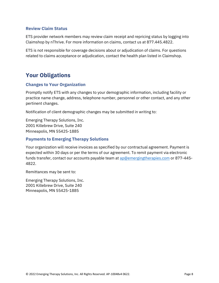# <span id="page-7-0"></span>**Review Claim Status**

ETS provider network members may review claim receipt and repricing status by logging into Claimshop by nThrive. For more information on claims, contact us at 877.445.4822.

ETS is not responsible for coverage decisions about or adjudication of claims. For questions related to claims acceptance or adjudication, contact the health plan listed in Claimshop.

# <span id="page-7-1"></span>**Your Obligations**

# <span id="page-7-2"></span>**Changes to Your Organization**

Promptly notify ETS with any changes to your demographic information, including facility or practice name change, address, telephone number, personnel or other contact, and any other pertinent changes.

Notification of client demographic changes may be submitted in writing to:

Emerging Therapy Solutions, Inc. 2001 Killebrew Drive, Suite 240 Minneapolis, MN 55425-1885

# <span id="page-7-3"></span>**Payments to Emerging Therapy Solutions**

Your organization will receive invoices as specified by our contractual agreement. Payment is expected within 30 days or per the terms of our agreement. To remit payment via electronic funds transfer, contact our accounts payable team at [ap@emergingtherapies.com](mailto:ap@emergingtherapies.com) or 877-445- 4822.

Remittances may be sent to:

Emerging Therapy Solutions, Inc. 2001 Killebrew Drive, Suite 240 Minneapolis, MN 55425-1885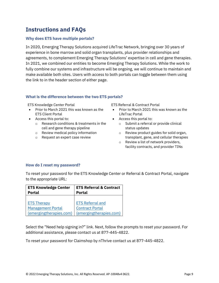# <span id="page-8-0"></span>**Instructions and FAQs**

## <span id="page-8-1"></span>**Why does ETS have multiple portals?**

In 2020, Emerging Therapy Solutions acquired LifeTrac Network, bringing over 30 years of experience in bone marrow and solid organ transplants, plus provider relationships and agreements, to complement Emerging Therapy Solutions' expertise in cell and gene therapies. In 2021, we combined our entities to become Emerging Therapy Solutions. While the work to fully combine our systems and infrastructure will be ongoing, we will continue to maintain and make available both sites. Users with access to both portals can toggle between them using the link to in the header section of either page.

### <span id="page-8-2"></span>**What is the difference between the two ETS portals?**

- Prior to March 2021 this was known as the ETS Client Portal
- Access this portal to:
	- o Research conditions & treatments in the cell and gene therapy pipeline
	- o Review medical policy information
	- o Request an expert case review

ETS Knowledge Center Portal ETS Referral & Contract Portal

- Prior to March 2021 this was known as the LifeTrac Portal
- Access this portal to:
	- o Submit a referral or provide clinical status updates
	- o Review product guides for solid organ, transplant, gene, and cellular therapies
	- o Review a list of network providers, facility contracts, and provider TINs

### <span id="page-8-3"></span>**How do I reset my password?**

To reset your password for the ETS Knowledge Center or Referral & Contract Portal, navigate to the appropriate URL:

| <b>ETS Knowledge Center</b> | <b>ETS Referral &amp; Contract</b> |
|-----------------------------|------------------------------------|
| <b>Portal</b>               | <b>Portal</b>                      |
|                             |                                    |
| <b>ETS Therapy</b>          | <b>ETS Referral and</b>            |
| <b>Management Portal</b>    | <b>Contract Portal</b>             |
| (emergingtherapies.com)     | (emergingtherapies.com)            |

Select the "Need help signing in?" link. Next, follow the prompts to reset your password. For additional assistance, please contact us at 877-445-4822.

To reset your password for Claimshop by nThrive contact us at 877-445-4822.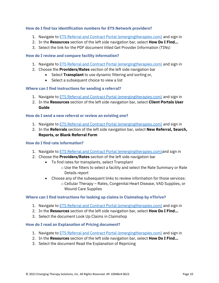# <span id="page-9-0"></span>**How do I find tax identification numbers for ETS Network providers?**

- 1. Navigate t[o ETS Referral and Contract Portal \(emergingtherapies.com\)](https://ltportal.emergingtherapies.com/Account/Login.aspx) and sign in
- 2. In the **Resources** section of the left side navigation bar, select **How Do I Find…**
- 3. Select the link for the PDF document titled Get Provider Information (TINs)

### <span id="page-9-1"></span>**How do I review and compare facility information?**

- 1. Navigate t[o ETS Referral and Contract Portal \(emergingtherapies.com\)](https://ltportal.emergingtherapies.com/Account/Login.aspx) and sign in
- 2. Choose the **Providers/Rates** section of the left side navigation bar
	- Select **Transplant** to use dynamic filtering and sorting or,
	- Select a subsequent choice to view a list

# <span id="page-9-2"></span>**Where can I find instructions for sending a referral?**

- 1. Navigate t[o ETS Referral and Contract Portal \(emergingtherapies.com\)](https://ltportal.emergingtherapies.com/Account/Login.aspx) and sign in
- 2. In the **Resources** section of the left side navigation bar, select **Client Portals User Guide**

# <span id="page-9-3"></span>**How do I send a new referral or review an existing one?**

- 1. Navigate t[o ETS Referral and Contract Portal \(emergingtherapies.com\)](https://ltportal.emergingtherapies.com/Account/Login.aspx) and sign in
- 2. In the **Referrals** section of the left side navigation bar, select **New Referral, Search, Reports, or Blank Referral Form**

## <span id="page-9-4"></span>**How do I find rate information?**

- 1. Navigate t[o ETS Referral and Contract Portal \(emergingtherapies.com\)a](https://ltportal.emergingtherapies.com/Account/Login.aspx)nd sign in
- 2. Choose the **Providers/Rates** section of the left side navigation bar
	- To find rates for transplants, select Transplant
		- o Use the filters to select a facility and select the Rate Summary or Rate Details report
	- Choose any of the subsequent links to review information for those services:
		- o Cellular Therapy Rates, Congenital Heart Disease, VAD Supplies, or Wound Care Supplies

### <span id="page-9-5"></span>**Where can I find instructions for looking up claims in Claimshop by nThrive?**

- 1. Navigate to [ETS Referral and Contract Portal \(emergingtherapies.com\)](https://ltportal.emergingtherapies.com/Account/Login.aspx) and sign in
- 2. In the **Resources** section of the left side navigation bar, select **How Do I Find…**
- 3. Select the document Look Up Claims in Claimshop

### <span id="page-9-6"></span>**How do I read an Explanation of Pricing document?**

- 1. Navigate t[o ETS Referral and Contract Portal \(emergingtherapies.com\)](https://ltportal.emergingtherapies.com/Account/Login.aspx) and sign in
- 2. In the **Resources** section of the left side navigation bar, select **How Do I Find…**
- 3. Select the document Read the Explanation of Repricing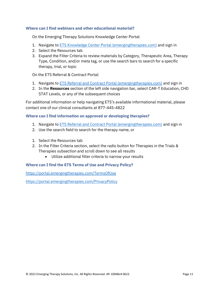## <span id="page-10-0"></span>**Where can I find webinars and other educational material?**

On the Emerging Therapy Solutions Knowledge Center Portal:

- 1. Navigate to ETS Knowledge Center [Portal \(emergingtherapies.com\)](https://portal.emergingtherapies.com/Login?redirect=%2F) and sign in
- 2. Select the Resources tab
- 3. Expand the Filter Criteria to review materials by Category, Therapeutic Area, Therapy Type, Condition, and/or meta tag, or use the search bars to search for a specific therapy, trial, or topic

On the ETS Referral & Contract Portal:

- 1. Navigate to **ETS Referral and Contract Portal (emergingtherapies.com)** and sign in
- 2. In the **Resources** section of the left side navigation bar, select CAR-T Education, CHD STAT Levels, or any of the subsequent choices

For additional information or help navigating ETS's available informational material, please contact one of our clinical consultants at 877-445-4822

# <span id="page-10-1"></span>**Where can I find information on approved or developing therapies?**

- 1. Navigate t[o ETS Referral and Contract Portal \(emergingtherapies.com\)](https://ltportal.emergingtherapies.com/Account/Login.aspx) and sign in
- 2. Use the search field to search for the therapy name, or
- 1. Select the Resources tab
- 2. In the Filter Criteria section, select the radio button for Therapies in the Trials & Therapies subsection and scroll down to see all results
	- Utilize additional filter criteria to narrow your results

### <span id="page-10-2"></span>**Where can I find the ETS Terms of Use and Privacy Policy?**

<https://portal.emergingtherapies.com/TermsOfUse>

<https://portal.emergingtherapies.com/PrivacyPolicy>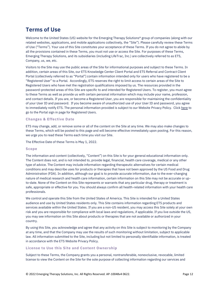# <span id="page-11-0"></span>**Terms of Use**

Welcome to the United States (US) website for the Emerging Therapy Solutions® group of companies (along with our related websites, applications, and mobile applications collectively, the "Site"). Please carefully review these Terms of Use ("Terms"). Your use of this Site constitutes your acceptance of these Terms. If you do not agree to abide by all the provisions contained in these Terms, you must not use or access the Site. For purposes of these Terms, Emerging Therapy Solutions, and its subsidiaries (including LifeTrac, Inc.) are collectively referred to as ETS, Company, us, we, etc.

Visitors to the Site may use the public areas of the Site for informational purposes and subject to these Terms. In addition, certain areas of this Site, our ETS Knowledge Center Client Portal and ETS Referral and Contract Client Portal (collectively referred to as "Portal"] contain information intended only for users who have registered to be a "Registered User" to a Portal. Accordingly, ETS reserves the right to limit access to certain areas of the Site to Registered Users who have met the registration qualifications imposed by us. The resources provided in the password-protected areas of this Site are specific to and intended for Registered Users. To register, you must agree to these Terms as well as provide us with certain personal information which may include your name, profession, and contact details. If you are, or become a Registered User, you are responsible for maintaining the confidentiality of your User ID and password. If you become aware of unauthorized use of your User ID and password, you agree to immediately notify ETS. The personal information provided is subject to our Website Privacy Policy. Clic[k here](https://emergingtherapies.com/) to go to the Portal sign in page for Registered Users.

#### **Changes & Effective Date**

ETS may change, add, or remove some or all of the content on the Site at any time. We may also make changes to these Terms, which will be posted to this page and will become effective immediately upon posting. For this reason, we urge you to read these Terms each time you visit our Site.

The Effective Date of these Terms is May 1, 2022.

#### **Scope**

The information and content (collectively, "Content") on this Site is for your general educational information only. The Content does not, and is not intended to, provide legal, financial, health care coverage, medical or any other type of advice. The Content may include information regarding therapeutic alternatives for certain medical conditions and may describe uses for products or therapies that have not been approved by the US Food and Drug Administration (FDA). In addition, although our goal is to provide accurate information, due to the ever-changing nature of medical research and health care information, certain information on this Site may not be accurate or upto-date. None of the Content on this Site represents or warrants that any particular drug, therapy or treatment is safe, appropriate or effective for you. You should always confirm all health-related information with your health care professionals.

We control and operate this Site from the United States of America. This Site is intended for a United States audience and use by United States residents only. This Site contains information regarding ETS products and services available within the United States. If you are a non-US resident, you may access this Site solely at your own risk and you are responsible for compliance with local laws and regulations, if applicable. If you live outside the US, you may see information on this Site about products or therapies that are not available or authorized in your country.

By using this Site, you acknowledge and agree that any activity on this Site is subject to monitoring by the Company at any time, and that the Company may use the results of such monitoring without limitation, subject to applicable law. All information submitted to the Site, including but not limited to personally identifiable information, is treated in accordance with the ETS Website Privacy Policy.

#### **License to Use this Site and Content Ownership**

Subject to these Terms, the Company grants you a personal, nontransferable, nonexclusive, revocable, limited license to view the Content on the Site for the sole purpose of collecting information regarding our services and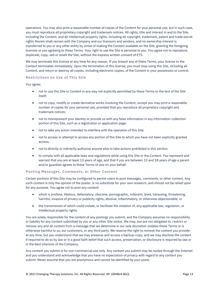operations. You may also print a reasonable number of copies of the Content for your personal use, but in such case, you must reproduce all proprietary copyright and trademark notices. All rights, title and interest in and to the Site, including the Content, and all intellectual property rights, including all copyright, trademark, patent and trade secret rights therein shall remain with the Company and our licensors and vendors, and no ownership interest is transferred to you or any other entity by virtue of making the Content available on the Site, granting the foregoing licenses or you agreeing to these Terms. Your right to use the Site is personal to you. You agree not to reproduce, duplicate, copy, sell or resell the Site, without the express written consent of ETS.

We may terminate this license at any time for any reason. If you breach any of these Terms, your license to the Content terminates immediately. Upon the termination of this license, you must stop using this Site, including all Content, and return or destroy all copies, including electronic copies, of the Content in your possession or control.

#### **Restrictions on Use of This Site**

#### You agree:

- not to use this Site or Content in any way not explicitly permitted by these Terms or the text of the Site itself;
- not to copy, modify or create derivative works involving the Content, except you may print a reasonable number of copies for your personal use, provided that you reproduce all proprietary copyright and trademark notices;
- not to misrepresent your identity or provide us with any false information in any information-collection portion of this Site, such as a registration or application page;
- not to take any action intended to interfere with the operation of this Site;
- not to access or attempt to access any portion of this Site to which you have not been explicitly granted access;
- not to directly or indirectly authorize anyone else to take actions prohibited in this section;
- to comply with all applicable laws and regulations while using this Site or the Content. You represent and warrant that you are at least 13 years of age, and that if you are between 13 and 18 years of age a parent and/or guardian agrees to these Terms of Use on your behalf.

#### **Posting Messages, Comments, or Other Content**

Certain portions of this Site may be configured to permit users to post messages, comments, or other content. Any such content is only the opinion of the poster, is no substitute for your own research, and should not be relied upon for any purpose. You agree not to post any content:

- which is profane, libelous, defamatory, obscene, pornographic, indecent, lewd, harassing, threatening, harmful, invasive of privacy or publicity rights, abusive, inflammatory, or otherwise objectionable; or
- the transmission of which could violate, or facilitate the violation of, any applicable law, regulation, or intellectual property rights.

You are solely responsible for the content of any postings you submit, and the Company assumes no responsibility or liability for any content submitted by you or any other Site visitor. We may, but are not obligated to, restrict or remove any and all content from a message that we determine in our sole discretion violates these Terms or is otherwise harmful to us, our customers, or any third party. We reserve the right to remove the content you provide at any time, but you understand that we may preserve and access a backup-copy, and we may disclose the content if required to do so by law or in a good faith belief that such access, preservation, or disclosure is required by law or in the best interests of the Company.

Any content you submit is for non-commercial use only. Any content you submit may be routed through the Internet and you understand and acknowledge that you have no expectation of privacy with regard to any content you submit. Never assume that you are anonymous and cannot be identified by your posts.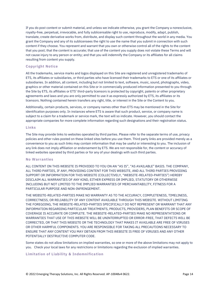If you do post content or submit material, and unless we indicate otherwise, you grant the Company a nonexclusive, royalty-free, perpetual, irrevocable, and fully sublicensable right to use, reproduce, modify, adapt, publish, translate, create derivative works from, distribute, and display such content throughout the world in any media. You grant the Company and any of its sublicensees the right to use the name that you submit in connection with such content if they choose. You represent and warrant that you own or otherwise control all of the rights to the content that you post; that the content is accurate; that use of the content you supply does not violate these Terms and will not cause injury to any person or entity; and that you will indemnify the Company or its affiliates for all claims resulting from content you supply.

#### **Copyright Notice**

All the trademarks, service marks and logos displayed on this Site are registered and unregistered trademarks of ETS, its affiliates or subsidiaries, or third parties who have licensed their trademarks to ETS or one of its affiliates or subsidiaries. In addition, all content, including but not limited to text, software, music, sound, photographs, video, graphics or other material contained on this Site or in commercially produced information presented to you through the Site by ETS, its affiliates or ETS' third-party licensors is protected by copyright, patents or other proprietary agreements and laws and you are only permitted to use it as expressly authorized by ETS, its affiliates or its licensors. Nothing contained herein transfers any right, title, or interest in the Site or the Content to you.

Additionally, certain products, services, or company names other than ETS may be mentioned in the Site for identification purposes only. In instances where ETS is aware that such product, service, or company name is subject to a claim for a trademark or service mark, the text will so indicate. However, you should contact the appropriate companies for more complete information regarding such designations and their registration status.

#### **Links**

The Site may provide links to websites operated by third parties. Please refer to the separate terms of use, privacy policies and other rules posted on these linked sites before you use them. Third party links are provided merely as a convenience to you as such links may contain information that may be useful or interesting to you. The inclusion of any link does not imply affiliation or endorsement by ETS. We are not responsible for, the content or accuracy of linked websites operated by third parties or for any of your dealings with such third parties.

#### **No Warranties**

ALL CONTENT ON THIS WEBSITE IS PROVIDED TO YOU ON AN "AS IS", "AS AVAILABLE" BASIS. THE COMPANY, ALL THIRD PARTIES, IF ANY, PROVIDING CONTENT FOR THIS WEBSITE, AND ALL THIRD PARTIES PROVIDING SUPPORT OR INFORMATION FOR THIS WEBSITE (COLLECTIVELY, "WEBSITE-RELATED-PARTIES") HEREBY DISCLAIM ALL WARRANTIES OF ANY KIND, EITHER EXPRESS OR IMPLIED, STATUTORY OR OTHERWISE INCLUDING BUT NOT LIMITED TO THE IMPLIED WARRANTIES OF MERCHANTABILITY, FITNESS FOR A PARTICULAR PURPOSE AND NON-INFRINGEMENT.

THE WEBSITE-RELATED-PARTIES MAKE NO WARRANTY AS TO THE ACCURACY, COMPLETENESS, TIMELINESS, CORRECTNESS, OR RELIABILITY OF ANY CONTENT AVAILABLE THROUGH THIS WEBSITE. WITHOUT LIMITING THE FOREGOING, THE WEBSITE-RELATED-PARTIES SPECIFICALLY DO NOT REPRESENT OR WARRANT THAT ANY INFORMATION REGARDING PARTICULAR TREATMENTS, PRODUCTS, PROVIDERS, PLAN BENEFITS OR SCOPE OF COVERAGE IS ACCURATE OR COMPLETE. THE WEBSITE-RELATED-PARTIES MAKE NO REPRESENTATIONS OR WARRANTIES THAT USE OF THIS WEBSITE WILL BE UNINTERRUPTED OR ERROR-FREE, THAT DEFECTS WILL BE CORRECTED, OR THAT THIS WEBSITE OR THE TECHNOLOGY THAT MAKES IT AVAILABLE ARE FREE OF VIRUSES OR OTHER HARMFUL COMPONENTS. YOU ARE RESPONSIBLE FOR TAKING ALL PRECAUTIONS NECESSARY TO ENSURE THAT ANY CONTENT YOU MAY OBTAIN FROM THIS WEBSITE IS FREE OF VIRUSES AND ANY OTHER POTENTIALLY DESTRUCTIVE COMPUTER CODE.

Some states do not allow limitations on implied warranties, so one or more of the above limitations may not apply to you. Check your local laws for any restrictions or limitations regarding the exclusion of implied warranties.

#### **Limitation of Liability & Indemnification**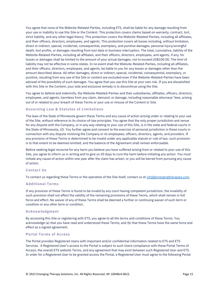You agree that none of the Website-Related-Parties, including ETS, shall be liable for any damage resulting from your use or inability to use this Site or the Content. This protection covers claims based on warranty, contract, tort, strict liability, and any other legal theory. This protection covers the Website-Related-Parties, including all affiliates, and their officers, directors, employees, and agents. This protection covers all losses including, without limitation, direct or indirect, special, incidental, consequential, exemplary, and punitive damages, personal injury/wrongful death, lost profits, or damages resulting from lost data or business interruption. The total, cumulative, liability of the Website-Related-Parties, including all affiliates, and their officers, directors, employees, and agents, if any, for losses or damages shall be limited to the amount of your actual damages, not to exceed US\$100.00. The limit of liability may not be effective in some states. In no event shall the Website-Related-Parties, including all affiliates, and their officers, directors, employees, and agents, be liable to you for any losses or damages other than the amount described above. All other damages, direct or indirect, special, incidental, consequential, exemplary, or punitive, resulting from any use of the Site or content are excluded even if the Website-Related-Parties have been advised of the possibility of such damages. You agree that you use this Site at your own risk. If you are dissatisfied with this Site or the Content, your sole and exclusive remedy is to discontinue using the Site.

You agree to defend and indemnify, the Website-Related-Parties and their subsidiaries, affiliates, officers, directors, employees, and agents, harmless from any claim, demand, or damage, including reasonable attorneys' fees, arising out of or related to your breach of these Terms or your use or misuse of the Content or Site.

#### **Governing Law & Statutes of Limitations**

The laws of the State of Minnesota govern these Terms and any cause of action arising under or relating to your use of the Site, without reference to its choice-of-law principles. You agree that the only proper jurisdiction and venue for any dispute with the Company, or in any way relating to your use of this Site, is in the state and federal courts in the State of Minnesota, US. You further agree and consent to the exercise of personal jurisdiction in these courts in connection with any dispute involving the Company or its employees, officers, directors, agents, and providers. If any provision of these Terms is determined to be invalid under any applicable statute or rule of law, such provision is to that extent to be deemed omitted, and the balance of the Agreement shall remain enforceable.

Before seeking legal recourse for any harm you believe you have suffered arising from or related to your use of this Site, you agree to inform us in writing and to give us 30 days to cure the harm before initiating any action. You must initiate any cause of action within one year after the claim has arisen, or you will be barred from pursuing any cause of action.

#### **Contact Us**

To contact us regarding these Terms or the operation of the Site itself, contact us at [info@emergingtherapies.com.](mailto:%20info@emergingtherapies.com)

#### **Additional Terms**

If any provision of these Terms is found to be invalid by any court having competent jurisdiction, the invalidity of such provision shall not affect the validity of the remaining provisions of these Terms, which shall remain in full force and effect. No waiver of any of these Terms shall be deemed a further or continuing waiver of such term or condition or any other term or condition.

#### **Acknowledgment**

By accessing this Site or registering with ETS, you agree to all the terms and conditions of these Terms. You acknowledge (a) that you have read and understood these Terms; and (b) that these Terms have the same force and effect as a signed agreement.

#### **Portal Terms of Access**

The Portal provides Registered Users with important and/or confidential information related to ETS and ETS Services. A Registered User's access to the Portal is subject to such Users compliance with these Portal Terms of Access, the overall ETS website Terms, and any agreement that may exist between such Registered User and ETS. In order for a Registered User to be granted access the Portal, a Registered User must agree to the following Portal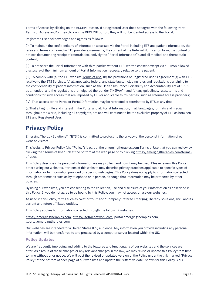Terms of Access by clicking on the ACCEPT button. If a Registered User does not agree with the following Portal Terms of Access and/or they click on the DECLINE button, they will not be granted access to the Portal.

Registered User acknowledges and agrees as follows:

(i) To maintain the confidentiality of information accessed via the Portal including ETS and patient information, the rates and terms contained in ETS provider agreements, the content of the Referral Notification form, the content of notices documenting receipt of referrals (collectively the "Portal Information"), and all medical and therapeutic content;

(ii) To not share the Portal Information with third parties without ETS' written consent except via a HIPAA allowed disclosure of the minimum amount of Portal Information necessary relative to the patient;

(iii) To comply with (a) the ETS website [Terms of Use](https://emergingtherapies.com/terms-of-use/), (b) the provisions of Registered User's agreement(s) with ETS relative to the ETS Services, (c) all applicable federal and state laws, including rules and regulations pertaining to the confidentiality of patient information, such as the Health Insurance Portability and Accountability Act of 1996, as amended, and the regulations promulgated thereunder ("HIPAA"); and (d) any guidelines, rules, terms and conditions for such access that are imposed by ETS or applicable third- parties, such as Internet access providers;

(iv) That access to the Portal or Portal Information may be restricted or terminated by ETS at any time;

(v)That all right, title and interest in the Portal and all Portal Information, in all languages, formats and media throughout the world, including all copyrights, are and will continue to be the exclusive property of ETS as between ETS and Registered User.

# <span id="page-15-0"></span>**Privacy Policy**

Emerging Therapy Solutions® ("ETS") is committed to protecting the privacy of the personal information of our website visitors.

This Website Privacy Policy (the "Policy") is part of the emergingtherapies.com Terms of Use that you can review by clicking the "Terms of Use" link at the bottom of the web page or by clicking [https://emergingtherapies.com/terms](https://emergingtherapies.com/terms-of-use/)[of-use/.](https://emergingtherapies.com/terms-of-use/)

This Policy describes the personal information we may collect and how it may be used. Please review this Policy before using our websites. Portions of this website may describe privacy practices applicable to specific types of information or to information provided on specific web pages. This Policy does not apply to information collected through other means such as by telephone or in person, although that information may be protected by other policies.

By using our websites, you are consenting to the collection, use and disclosure of your information as described in this Policy. If you do not agree to be bound by this Policy, you may not access or use our websites.

As used in this Policy, terms such as "we" or "our" and "Company" refer to Emerging Therapy Solutions, Inc., and its current and future affiliated entities.

This Policy applies to information collected through the following websites:

[https://emergingtherapies.com,](https://emergingtherapies.com/) [https://lifetracnetwork.com,](https://lifetracnetwork.com/) portal.emergingtherapies.com, ltportal.emergingtherpies.com

Our websites are intended for a United States (US) audience. Any information you provide including any personal information, will be transferred to and processed by a computer server located within the US.

#### **Policy Updates**

We are frequently improving and adding to the features and functionality of our websites and the services we offer. As a result of these changes or any relevant changes in the law, we may revise or update this Policy from time to time without prior notice. We will post the revised or updated version of the Policy under the link marked "Privacy Policy" at the bottom of each page of our websites and update the "effective date" shown for this Policy. Your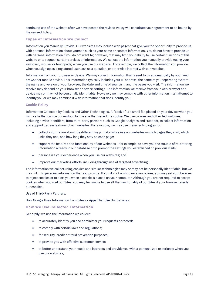continued use of the website after we have posted the revised Policy will constitute your agreement to be bound by the revised Policy.

### **Types of Information We Collect**

Information you Manually Provide. Our websites may include web pages that give you the opportunity to provide us with personal information about yourself such as your name or contact information. You do not have to provide us with personal information if you do not want to; however, that may limit your ability to use certain functions of this website or to request certain services or information. We collect the information you manually provide (using your keyboard, mouse, or touchpads) when you use our website. For example, we collect the information you provide when you sign up as a registered user, ask us a question, or otherwise interact with our websites.

Information from your browser or device. We may collect information that is sent to us automatically by your web browser or mobile device. This information typically includes your IP address, the name of your operating system, the name and version of your browser, the date and time of your visit, and the pages you visit. The information we receive may depend on your browser or device settings. The information we receive from your web browser and device may or may not be personally identifiable. However, we may combine with other information in an attempt to identify you or we may combine it with information that does identify you.

#### **Cookie Policy**

Information Collected by Cookies and Other Technologies. A "cookie" is a small file placed on your device when you visit a site that can be understood by the site that issued the cookie. We use cookies and other technologies, including device identifiers, from third-party partners such as Google Analytics and HubSpot, to collect information and support certain features of our websites. For example, we may use these technologies to:

- collect information about the different ways that visitors use our websites—which pages they visit, which links they use, and how long they stay on each page;
- support the features and functionality of our websites for example, to save you the trouble of re-entering information already in our database or to prompt the settings you established on previous visits;
- personalize your experience when you use our websites; and
- improve our marketing efforts, including through use of targeted advertising.

The information we collect using cookies and similar technologies may or may not be personally identifiable, but we may link it to personal information that you provide. If you do not wish to receive cookies, you may set your browser to reject cookies or to alert you when a cookie is placed on your computer. Although you are not required to accept cookies when you visit our Sites, you may be unable to use all the functionality of our Sites if your browser rejects our cookies.

#### Use of Third-Party Partners.

#### [How Google Uses Information from Sites or Apps That Use Our Services.](https://policies.google.com/technologies/partner-sites)

#### **How We Use Collected Information**

Generally, we use the information we collect:

- to accurately identify you and administer your requests or records
- to comply with certain laws and regulations;
- for security, credit or fraud prevention purposes;
- to provide you with effective customer service;
- to better understand your needs and interests and provide you with a personalized experience when you use our websites;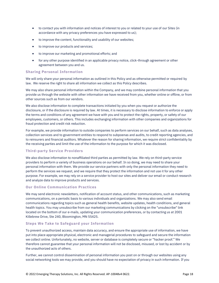- to contact you with information and notices of interest to you or related to your use of our Sites (in accordance with any privacy preferences you have expressed to us);
- to improve the content, functionality and usability of our websites;
- to improve our products and services;
- to improve our marketing and promotional efforts; and
- for any other purpose identified in an applicable privacy notice, click-through agreement or other agreement between you and us.

#### **Sharing Personal Information**

We will only share your personal information as outlined in this Policy and as otherwise permitted or required by law. We reserve the right to share all information we collect as this Policy describes.

We may also share personal information within the Company, and we may combine personal information that you provide us through the website with other information we have received from you, whether online or offline, or from other sources such as from our vendors.

We also disclose information to complete transactions initiated by you when you request or authorize the disclosure, or if the disclosure is required by law. At times, it is necessary to disclose information to enforce or apply the terms and conditions of any agreement we have with you and to protect the rights, property, or safety of our employees, customers, or others. This includes exchanging information with other companies and organizations for fraud protection and credit risk reduction.

For example, we provide information to outside companies to perform services on our behalf, such as data analyses, collection services and to government entities to respond to subpoenas and audits, to credit reporting agencies, and to reinsurers and financial auditors. Whatever the reason for sharing information, we require strict confidentiality by the receiving parties and limit the use of the information to the purpose for which it was disclosed.

#### **Third-party Service Providers**

We also disclose information to nonaffiliated third parties as permitted by law. We rely on third-party service providers to perform a variety of business operations on our behalf. In so doing, we may need to share your personal information with them. We provide our service partners with only the personal information they need to perform the services we request, and we require that they protect the information and not use it for any other purpose. For example, we may rely on a service provider to host our sites and deliver our email or conduct research and analyze data to improve products and services.

#### **Our Online Communication Practices**

We may send electronic newsletters, notification of account status, and other communications, such as marketing communications, on a periodic basis to various individuals and organizations. We may also send email communications regarding topics such as general health benefits, website updates, health conditions, and general health topics. You may unsubscribe from our marketing communications by clicking on the "unsubscribe" link located on the bottom of our e-mails, updating your communication preferences, or by contacting us at 2001 Killebrew Drive, Ste 240, Bloomington, MN 55425.

#### **Steps We Take to Safeguard your Information**

To prevent unauthorized access, maintain data accuracy, and ensure the appropriate use of information, we have put into place appropriate physical, electronic and managerial procedures to safeguard and secure the information we collect online. Unfortunately, no website, server or database is completely secure or "hacker proof." We therefore cannot guarantee that your personal information will not be disclosed, misused, or lost by accident or by the unauthorized acts of others.

Further, we cannot control dissemination of personal information you post on or through our websites using any social networking tools we may provide, and you should have no expectation of privacy in such information. If you